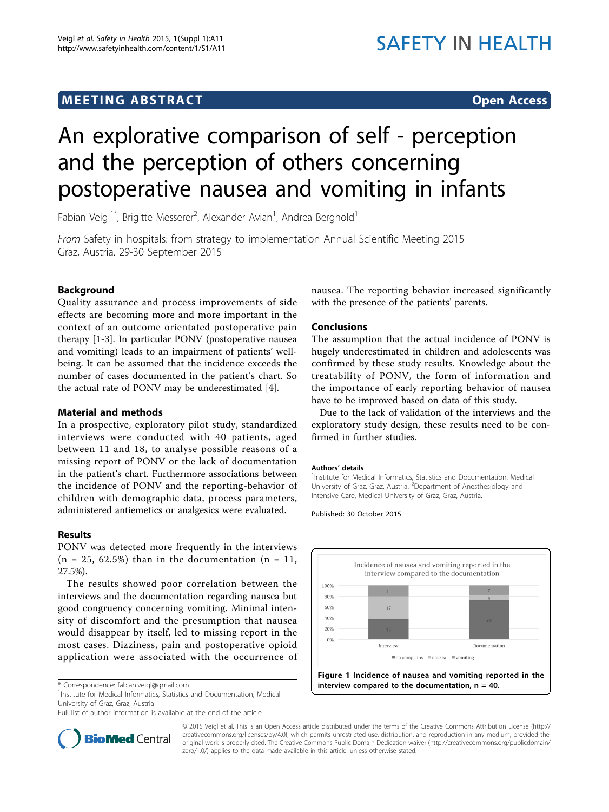## **MEETING ABSTRACT CONSUMING ABSTRACT**

# An explorative comparison of self - perception and the perception of others concerning postoperative nausea and vomiting in infants

Fabian Veigl $1^*$ , Brigitte Messerer $^2$ , Alexander Avian $^1$ , Andrea Berghold $^1$ 

From Safety in hospitals: from strategy to implementation Annual Scientific Meeting 2015 Graz, Austria. 29-30 September 2015

### Background

Quality assurance and process improvements of side effects are becoming more and more important in the context of an outcome orientated postoperative pain therapy [[1-3](#page-1-0)]. In particular PONV (postoperative nausea and vomiting) leads to an impairment of patients' wellbeing. It can be assumed that the incidence exceeds the number of cases documented in the patient's chart. So the actual rate of PONV may be underestimated [[4\]](#page-1-0).

#### Material and methods

In a prospective, exploratory pilot study, standardized interviews were conducted with 40 patients, aged between 11 and 18, to analyse possible reasons of a missing report of PONV or the lack of documentation in the patient's chart. Furthermore associations between the incidence of PONV and the reporting-behavior of children with demographic data, process parameters, administered antiemetics or analgesics were evaluated.

#### Results

PONV was detected more frequently in the interviews  $(n = 25, 62.5\%)$  than in the documentation  $(n = 11,$ 27.5%).

The results showed poor correlation between the interviews and the documentation regarding nausea but good congruency concerning vomiting. Minimal intensity of discomfort and the presumption that nausea would disappear by itself, led to missing report in the most cases. Dizziness, pain and postoperative opioid application were associated with the occurrence of

<sup>1</sup>Institute for Medical Informatics, Statistics and Documentation, Medical University of Graz, Graz, Austria

Full list of author information is available at the end of the article



nausea. The reporting behavior increased significantly with the presence of the patients' parents.

#### Conclusions

The assumption that the actual incidence of PONV is hugely underestimated in children and adolescents was confirmed by these study results. Knowledge about the treatability of PONV, the form of information and the importance of early reporting behavior of nausea have to be improved based on data of this study.

Due to the lack of validation of the interviews and the exploratory study design, these results need to be confirmed in further studies.

#### Authors' details <sup>1</sup>

<sup>1</sup>Institute for Medical Informatics, Statistics and Documentation, Medical University of Graz, Graz, Austria. <sup>2</sup>Department of Anesthesiology and Intensive Care, Medical University of Graz, Graz, Austria.

Published: 30 October 2015



© 2015 Veigl et al. This is an Open Access article distributed under the terms of the Creative Commons Attribution License [\(http://](http://creativecommons.org/licenses/by/4.0) [creativecommons.org/licenses/by/4.0](http://creativecommons.org/licenses/by/4.0)), which permits unrestricted use, distribution, and reproduction in any medium, provided the original work is properly cited. The Creative Commons Public Domain Dedication waiver ([http://creativecommons.org/publicdomain/](http://creativecommons.org/publicdomain/zero/1.0/) [zero/1.0/](http://creativecommons.org/publicdomain/zero/1.0/)) applies to the data made available in this article, unless otherwise stated.

<sup>\*</sup> Correspondence: [fabian.veigl@gmail.com](mailto:fabian.veigl@gmail.com)